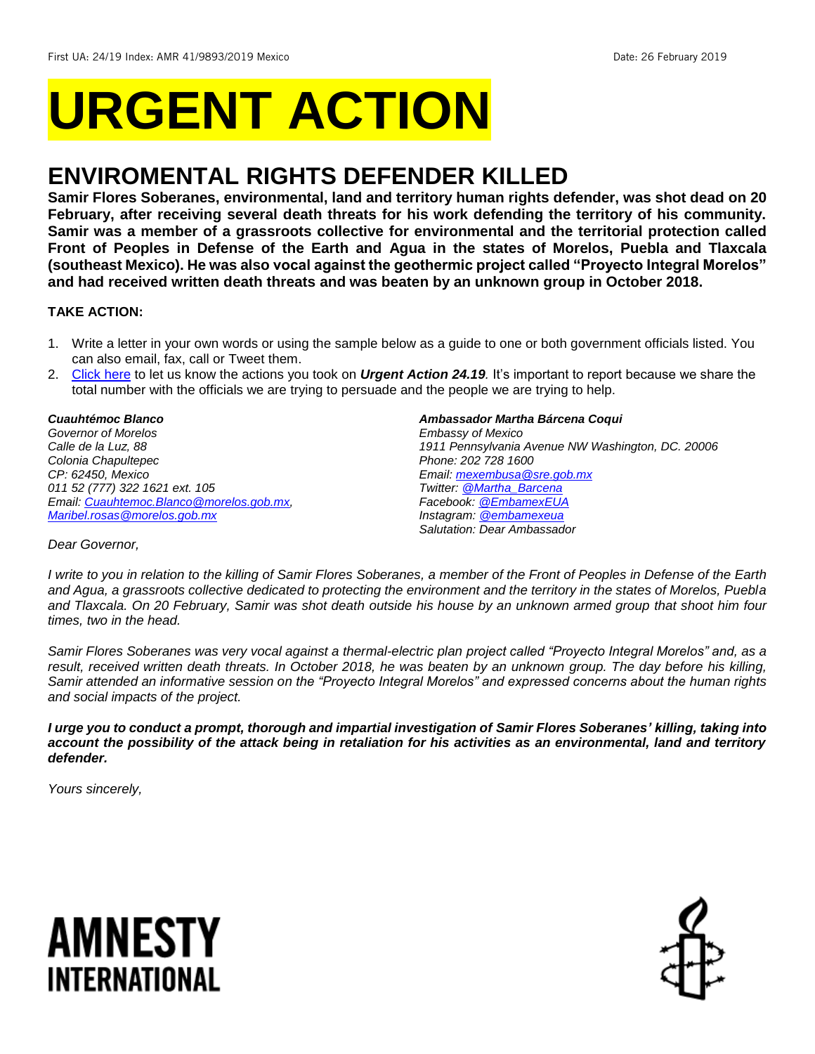# **URGENT ACTION**

## **ENVIROMENTAL RIGHTS DEFENDER KILLED**

**Samir Flores Soberanes, environmental, land and territory human rights defender, was shot dead on 20 February, after receiving several death threats for his work defending the territory of his community. Samir was a member of a grassroots collective for environmental and the territorial protection called Front of Peoples in Defense of the Earth and Agua in the states of Morelos, Puebla and Tlaxcala (southeast Mexico). He was also vocal against the geothermic project called "Proyecto Integral Morelos" and had received written death threats and was beaten by an unknown group in October 2018.**

## **TAKE ACTION:**

- 1. Write a letter in your own words or using the sample below as a guide to one or both government officials listed. You can also email, fax, call or Tweet them.
- 2. [Click here](https://www.amnestyusa.org/report-urgent-actions/) to let us know the actions you took on *Urgent Action 24.19.* It's important to report because we share the total number with the officials we are trying to persuade and the people we are trying to help.

*Cuauhtémoc Blanco Governor of Morelos Calle de la Luz, 88 Colonia Chapultepec CP: 62450, Mexico 011 52 (777) 322 1621 ext. 105 Email[: Cuauhtemoc.Blanco@morelos.gob.mx,](mailto:Cuauhtemoc.Blanco@morelos.gob.mx) [Maribel.rosas@morelos.gob.mx](mailto:Maribel.rosas@morelos.gob.mx)* 

*Ambassador Martha Bárcena Coqui*

*Embassy of Mexico 1911 Pennsylvania Avenue NW Washington, DC. 20006 Phone: 202 728 1600 Email[: mexembusa@sre.gob.mx](mailto:mexembusa@sre.gob.mx) Twitter: [@Martha\\_Barcena](https://twitter.com/Martha_Barcena?ref_src=twsrc%5Egoogle%7Ctwcamp%5Eserp%7Ctwgr%5Eauthor) Facebook: [@EmbamexEUA](https://www.facebook.com/EmbamexEUA/) Instagram: [@embamexeua](https://www.instagram.com/embamexeua/?hl=en) Salutation: Dear Ambassador*

*Dear Governor,*

*I write to you in relation to the killing of Samir Flores Soberanes, a member of the Front of Peoples in Defense of the Earth and Agua, a grassroots collective dedicated to protecting the environment and the territory in the states of Morelos, Puebla and Tlaxcala. On 20 February, Samir was shot death outside his house by an unknown armed group that shoot him four times, two in the head.* 

*Samir Flores Soberanes was very vocal against a thermal-electric plan project called "Proyecto Integral Morelos" and, as a result, received written death threats. In October 2018, he was beaten by an unknown group. The day before his killing, Samir attended an informative session on the "Proyecto Integral Morelos" and expressed concerns about the human rights and social impacts of the project.* 

*I urge you to conduct a prompt, thorough and impartial investigation of Samir Flores Soberanes' killing, taking into account the possibility of the attack being in retaliation for his activities as an environmental, land and territory defender.*

*Yours sincerely,*